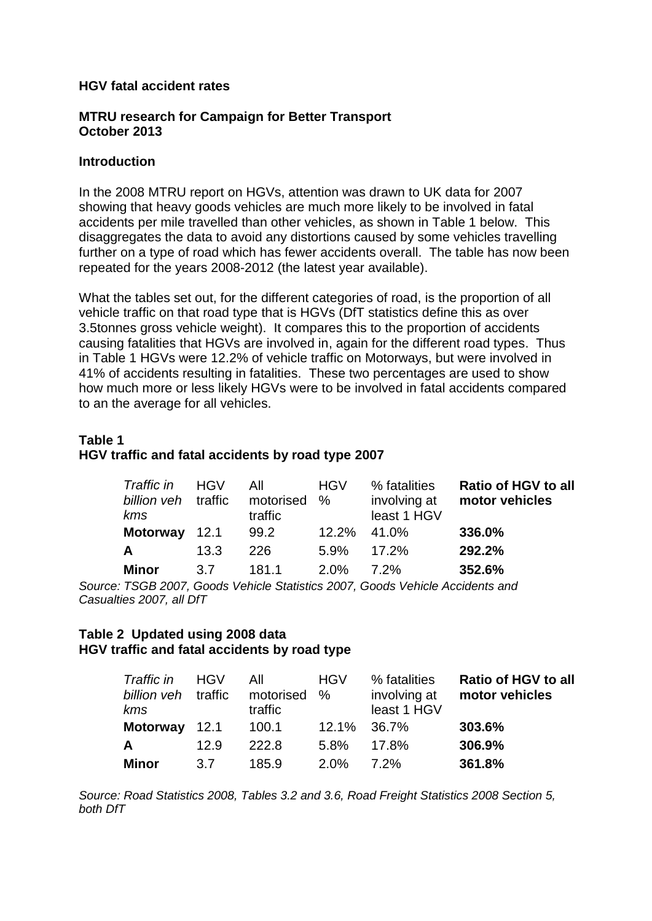#### **HGV fatal accident rates**

#### **MTRU research for Campaign for Better Transport October 2013**

#### **Introduction**

In the 2008 MTRU report on HGVs, attention was drawn to UK data for 2007 showing that heavy goods vehicles are much more likely to be involved in fatal accidents per mile travelled than other vehicles, as shown in Table 1 below. This disaggregates the data to avoid any distortions caused by some vehicles travelling further on a type of road which has fewer accidents overall. The table has now been repeated for the years 2008-2012 (the latest year available).

What the tables set out, for the different categories of road, is the proportion of all vehicle traffic on that road type that is HGVs (DfT statistics define this as over 3.5tonnes gross vehicle weight). It compares this to the proportion of accidents causing fatalities that HGVs are involved in, again for the different road types. Thus in Table 1 HGVs were 12.2% of vehicle traffic on Motorways, but were involved in 41% of accidents resulting in fatalities. These two percentages are used to show how much more or less likely HGVs were to be involved in fatal accidents compared to an the average for all vehicles.

# **Table 1 HGV traffic and fatal accidents by road type 2007**

| Traffic in<br>billion veh traffic<br>kms | <b>HGV</b> | All<br>motorised<br>traffic | <b>HGV</b><br>% | % fatalities<br>involving at<br>least 1 HGV | Ratio of HGV to all<br>motor vehicles |
|------------------------------------------|------------|-----------------------------|-----------------|---------------------------------------------|---------------------------------------|
| Motorway 12.1                            |            | 99.2                        | 12.2%           | 41.0%                                       | 336.0%                                |
| A                                        | 13.3       | 226                         | $5.9\%$         | $17.2\%$                                    | 292.2%                                |
| Minor                                    | 3.7        | 181.1                       | 2.0%            | 7 2%                                        | 352.6%                                |

*Source: TSGB 2007, Goods Vehicle Statistics 2007, Goods Vehicle Accidents and Casualties 2007, all DfT*

#### **Table 2 Updated using 2008 data HGV traffic and fatal accidents by road type**

| Traffic in<br>billion veh traffic<br>kms | <b>HGV</b> | All<br>motorised %<br>traffic | <b>HGV</b>  | % fatalities<br>involving at<br>least 1 HGV | Ratio of HGV to all<br>motor vehicles |
|------------------------------------------|------------|-------------------------------|-------------|---------------------------------------------|---------------------------------------|
| <b>Motorway</b>                          | $-12.1$    | 100.1                         | 12.1% 36.7% |                                             | 303.6%                                |
| A                                        | 12.9       | 222.8                         | 5.8%        | 17.8%                                       | 306.9%                                |
| <b>Minor</b>                             | 3.7        | 185.9                         | $2.0\%$     | 7 2%                                        | 361.8%                                |

*Source: Road Statistics 2008, Tables 3.2 and 3.6, Road Freight Statistics 2008 Section 5, both DfT*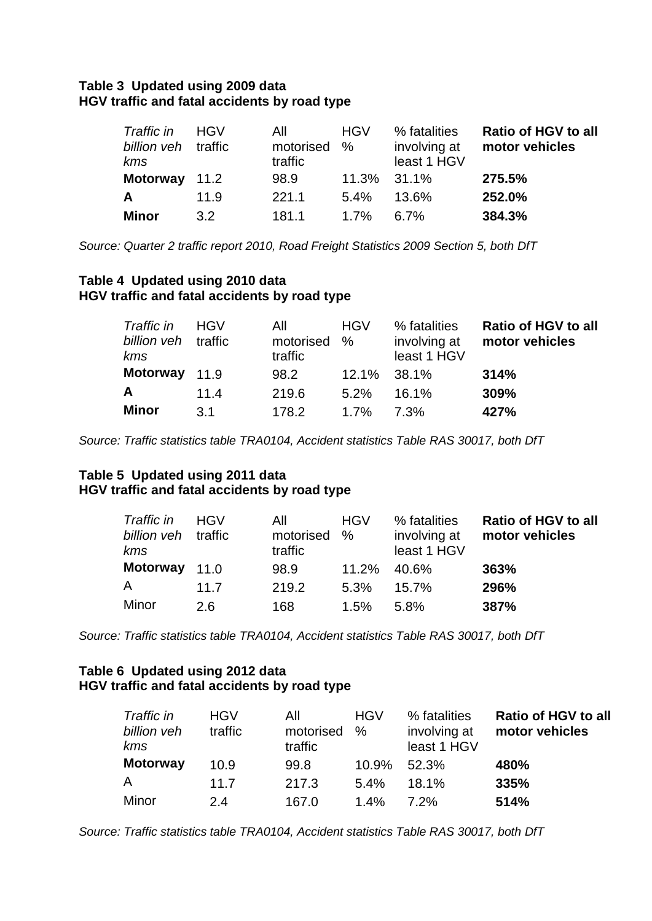## **Table 3 Updated using 2009 data HGV traffic and fatal accidents by road type**

| Traffic in<br>billion veh<br>kms | <b>HGV</b><br>traffic | All<br>motorised<br>traffic | <b>HGV</b><br>% | % fatalities<br>involving at<br>least 1 HGV | Ratio of HGV to all<br>motor vehicles |
|----------------------------------|-----------------------|-----------------------------|-----------------|---------------------------------------------|---------------------------------------|
| Motorway 11.2                    |                       | 98.9                        | 11.3% 31.1%     |                                             | 275.5%                                |
| A                                | 11.9                  | 221.1                       | $5.4\%$         | 13.6%                                       | 252.0%                                |
| Minor                            | 3.2                   | 181.1                       | $1.7\%$         | 6.7%                                        | 384.3%                                |

*Source: Quarter 2 traffic report 2010, Road Freight Statistics 2009 Section 5, both DfT*

## **Table 4 Updated using 2010 data HGV traffic and fatal accidents by road type**

| Traffic in<br>billion veh<br>kms | <b>HGV</b><br>traffic | All<br>motorised<br>traffic | <b>HGV</b><br>% | % fatalities<br>involving at<br>least 1 HGV | Ratio of HGV to all<br>motor vehicles |
|----------------------------------|-----------------------|-----------------------------|-----------------|---------------------------------------------|---------------------------------------|
| Motorway 11.9                    |                       | 98.2                        | 12.1%           | 38.1%                                       | 314%                                  |
| A                                | 11.4                  | 219.6                       | $5.2\%$         | $16.1\%$                                    | 309%                                  |
| <b>Minor</b>                     | $\mathbf{3}$ 1        | 178.2                       | $1.7\%$         | 7.3%                                        | 427%                                  |

*Source: Traffic statistics table TRA0104, Accident statistics Table RAS 30017, both DfT*

## **Table 5 Updated using 2011 data HGV traffic and fatal accidents by road type**

| Traffic in<br>billion veh<br>kms | <b>HGV</b><br>traffic | All<br>motorised<br>traffic | <b>HGV</b><br>% | % fatalities<br>involving at<br>least 1 HGV | Ratio of HGV to all<br>motor vehicles |
|----------------------------------|-----------------------|-----------------------------|-----------------|---------------------------------------------|---------------------------------------|
| Motorway 11.0                    |                       | 98.9                        | 11.2%           | 40.6%                                       | 363%                                  |
| A                                | 117                   | 219.2                       | $5.3\%$         | $15.7\%$                                    | 296%                                  |
| Minor                            | 2.6                   | 168                         | $1.5\%$         | 5.8%                                        | 387%                                  |

*Source: Traffic statistics table TRA0104, Accident statistics Table RAS 30017, both DfT*

# **Table 6 Updated using 2012 data HGV traffic and fatal accidents by road type**

| Traffic in<br>billion veh<br>kms | <b>HGV</b><br>traffic | All<br>motorised<br>traffic | <b>HGV</b><br>% | % fatalities<br>involving at<br>least 1 HGV | <b>Ratio of HGV to all</b><br>motor vehicles |
|----------------------------------|-----------------------|-----------------------------|-----------------|---------------------------------------------|----------------------------------------------|
| <b>Motorway</b>                  | 10.9                  | 99.8                        | 10.9%           | 52.3%                                       | 480%                                         |
| Α                                | 11.7                  | 217.3                       | 5.4%            | $18.1\%$                                    | 335%                                         |
| Minor                            | 2.4                   | 167.0                       | 1.4%            | $7.2\%$                                     | 514%                                         |

*Source: Traffic statistics table TRA0104, Accident statistics Table RAS 30017, both DfT*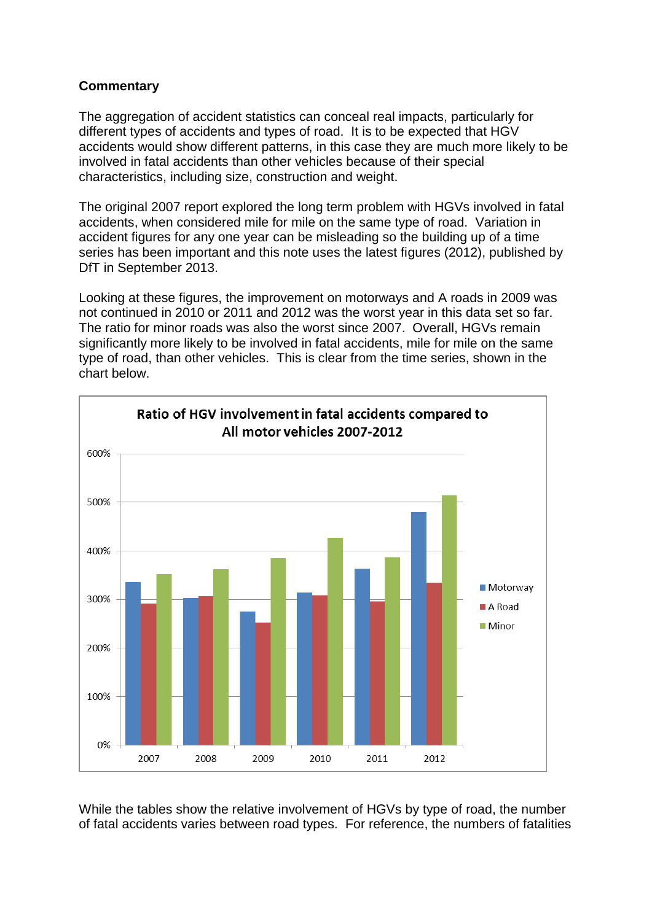# **Commentary**

The aggregation of accident statistics can conceal real impacts, particularly for different types of accidents and types of road. It is to be expected that HGV accidents would show different patterns, in this case they are much more likely to be involved in fatal accidents than other vehicles because of their special characteristics, including size, construction and weight.

The original 2007 report explored the long term problem with HGVs involved in fatal accidents, when considered mile for mile on the same type of road. Variation in accident figures for any one year can be misleading so the building up of a time series has been important and this note uses the latest figures (2012), published by DfT in September 2013.

Looking at these figures, the improvement on motorways and A roads in 2009 was not continued in 2010 or 2011 and 2012 was the worst year in this data set so far. The ratio for minor roads was also the worst since 2007. Overall, HGVs remain significantly more likely to be involved in fatal accidents, mile for mile on the same type of road, than other vehicles. This is clear from the time series, shown in the chart below.



While the tables show the relative involvement of HGVs by type of road, the number of fatal accidents varies between road types. For reference, the numbers of fatalities